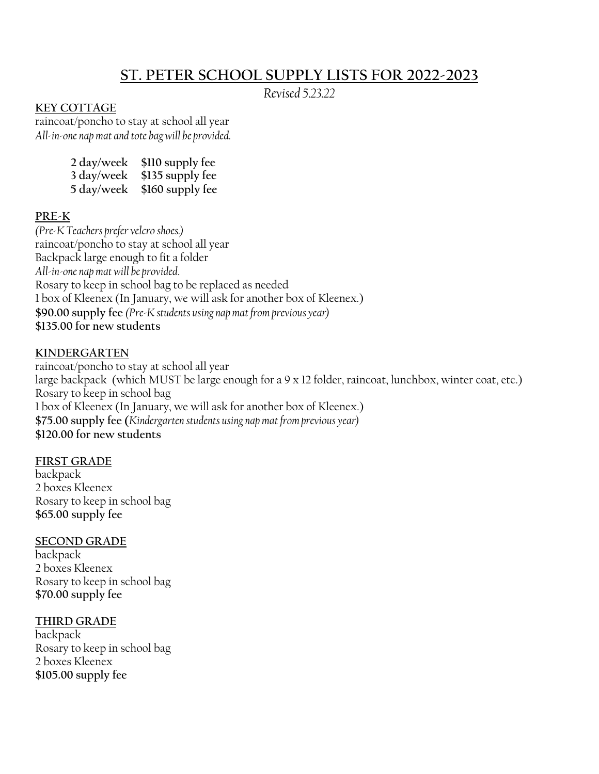# **ST. PETER SCHOOL SUPPLY LISTS FOR 2022-2023**

*Revised 5.23.22*

# **KEY COTTAGE**

raincoat/poncho to stay at school all year *All-in-one nap mat and tote bag will be provided.*

| 2 day/week | \$110 supply fee |
|------------|------------------|
| 3 day/week | \$135 supply fee |
| 5 day/week | \$160 supply fee |

# **PRE-K**

*(Pre-K Teachers prefer velcro shoes.)* raincoat/poncho to stay at school all year Backpack large enough to fit a folder *All-in-one nap mat will be provided*. Rosary to keep in school bag to be replaced as needed 1 box of Kleenex (In January, we will ask for another box of Kleenex.) **\$90.00 supply fee** *(Pre-K students using nap mat from previous year)* **\$135.00 for new students**

#### **KINDERGARTEN**

raincoat/poncho to stay at school all year large backpack (which MUST be large enough for a 9 x 12 folder, raincoat, lunchbox, winter coat, etc.) Rosary to keep in school bag 1 box of Kleenex (In January, we will ask for another box of Kleenex.) **\$75.00 supply fee (***Kindergarten students using nap mat from previous year)* **\$120.00 for new students**

#### **FIRST GRADE**

backpack 2 boxes Kleenex Rosary to keep in school bag **\$65.00 supply fee**

## **SECOND GRADE**

backpack 2 boxes Kleenex Rosary to keep in school bag **\$70.00 supply fee** 

## **THIRD GRADE**

backpack Rosary to keep in school bag 2 boxes Kleenex **\$105.00 supply fee**